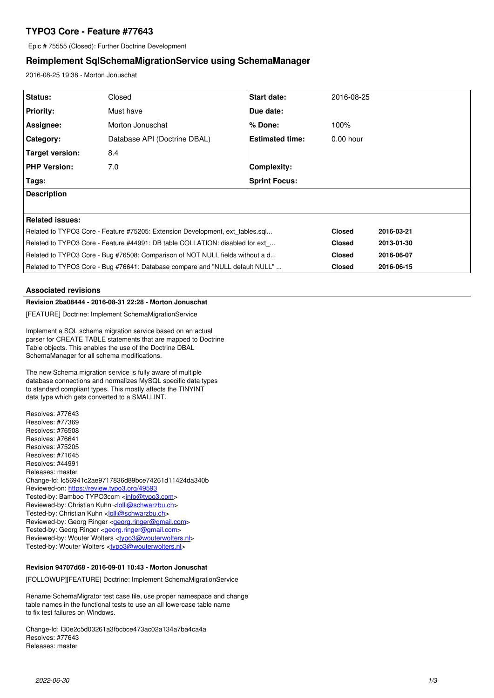# **TYPO3 Core - Feature #77643**

Epic # 75555 (Closed): Further Doctrine Development

# **Reimplement SqlSchemaMigrationService using SchemaManager**

2016-08-25 19:38 - Morton Jonuschat

| Status:                                                                       | Closed                       | <b>Start date:</b>     | 2016-08-25    |            |
|-------------------------------------------------------------------------------|------------------------------|------------------------|---------------|------------|
| <b>Priority:</b>                                                              | Must have                    | Due date:              |               |            |
| Assignee:                                                                     | Morton Jonuschat             | $%$ Done:              | 100%          |            |
| Category:                                                                     | Database API (Doctrine DBAL) | <b>Estimated time:</b> | $0.00$ hour   |            |
| Target version:                                                               | 8.4                          |                        |               |            |
| <b>PHP Version:</b>                                                           | 7.0                          | Complexity:            |               |            |
| Tags:                                                                         |                              | <b>Sprint Focus:</b>   |               |            |
| <b>Description</b>                                                            |                              |                        |               |            |
|                                                                               |                              |                        |               |            |
| Related issues:                                                               |                              |                        |               |            |
| Related to TYPO3 Core - Feature #75205: Extension Development, ext tables.sql |                              |                        | <b>Closed</b> | 2016-03-21 |
| Related to TYPO3 Core - Feature #44991: DB table COLLATION: disabled for ext  |                              |                        | <b>Closed</b> | 2013-01-30 |
| Related to TYPO3 Core - Bug #76508: Comparison of NOT NULL fields without a d |                              |                        | <b>Closed</b> | 2016-06-07 |
| Related to TYPO3 Core - Bug #76641: Database compare and "NULL default NULL"  |                              |                        | <b>Closed</b> | 2016-06-15 |

## **Associated revisions**

## **Revision 2ba08444 - 2016-08-31 22:28 - Morton Jonuschat**

[FEATURE] Doctrine: Implement SchemaMigrationService

Implement a SQL schema migration service based on an actual parser for CREATE TABLE statements that are mapped to Doctrine Table objects. This enables the use of the Doctrine DBAL SchemaManager for all schema modifications.

The new Schema migration service is fully aware of multiple database connections and normalizes MySQL specific data types to standard compliant types. This mostly affects the TINYINT data type which gets converted to a SMALLINT.

Resolves: #77643 Resolves: #77369 Resolves: #76508 Resolves: #76641 Resolves: #75205 Resolves: #71645 Resolves: #44991 Releases: master Change-Id: Ic56941c2ae9717836d89bce74261d11424da340b Reviewed-on:<https://review.typo3.org/49593> Tested-by: Bamboo TYPO3com [<info@typo3.com](mailto:info@typo3.com)> Reviewed-by: Christian Kuhn [<lolli@schwarzbu.ch>](mailto:lolli@schwarzbu.ch) Tested-by: Christian Kuhn <[lolli@schwarzbu.ch](mailto:lolli@schwarzbu.ch)> Reviewed-by: Georg Ringer <[georg.ringer@gmail.com](mailto:georg.ringer@gmail.com)> Tested-by: Georg Ringer [<georg.ringer@gmail.com>](mailto:georg.ringer@gmail.com) Reviewed-by: Wouter Wolters <[typo3@wouterwolters.nl](mailto:typo3@wouterwolters.nl)> Tested-by: Wouter Wolters [<typo3@wouterwolters.nl>](mailto:typo3@wouterwolters.nl)

## **Revision 94707d68 - 2016-09-01 10:43 - Morton Jonuschat**

[FOLLOWUP][FEATURE] Doctrine: Implement SchemaMigrationService

Rename SchemaMigrator test case file, use proper namespace and change table names in the functional tests to use an all lowercase table name to fix test failures on Windows.

Change-Id: I30e2c5d03261a3fbcbce473ac02a134a7ba4ca4a Resolves: #77643 Releases: master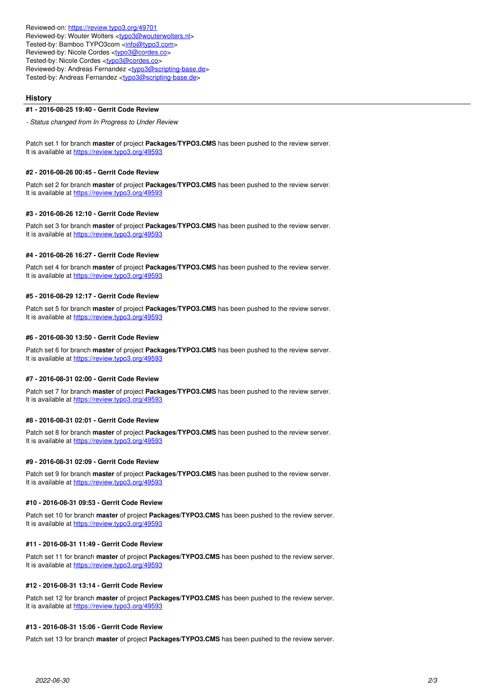Reviewed-on:<https://review.typo3.org/49701> Reviewed-by: Wouter Wolters <[typo3@wouterwolters.nl](mailto:typo3@wouterwolters.nl)> Tested-by: Bamboo TYPO3com [<info@typo3.com](mailto:info@typo3.com)> Reviewed-by: Nicole Cordes <[typo3@cordes.co](mailto:typo3@cordes.co)> Tested-by: Nicole Cordes [<typo3@cordes.co>](mailto:typo3@cordes.co) Reviewed-by: Andreas Fernandez [<typo3@scripting-base.de>](mailto:typo3@scripting-base.de) Tested-by: Andreas Fernandez [<typo3@scripting-base.de>](mailto:typo3@scripting-base.de)

## **History**

#### **#1 - 2016-08-25 19:40 - Gerrit Code Review**

*- Status changed from In Progress to Under Review*

Patch set 1 for branch **master** of project **Packages/TYPO3.CMS** has been pushed to the review server. It is available at <https://review.typo3.org/49593>

#### **#2 - 2016-08-26 00:45 - Gerrit Code Review**

Patch set 2 for branch **master** of project **Packages/TYPO3.CMS** has been pushed to the review server. It is available at <https://review.typo3.org/49593>

### **#3 - 2016-08-26 12:10 - Gerrit Code Review**

Patch set 3 for branch **master** of project **Packages/TYPO3.CMS** has been pushed to the review server. It is available at <https://review.typo3.org/49593>

## **#4 - 2016-08-26 16:27 - Gerrit Code Review**

Patch set 4 for branch **master** of project **Packages/TYPO3.CMS** has been pushed to the review server. It is available at <https://review.typo3.org/49593>

## **#5 - 2016-08-29 12:17 - Gerrit Code Review**

Patch set 5 for branch **master** of project **Packages/TYPO3.CMS** has been pushed to the review server. It is available at <https://review.typo3.org/49593>

#### **#6 - 2016-08-30 13:50 - Gerrit Code Review**

Patch set 6 for branch **master** of project **Packages/TYPO3.CMS** has been pushed to the review server. It is available at <https://review.typo3.org/49593>

#### **#7 - 2016-08-31 02:00 - Gerrit Code Review**

Patch set 7 for branch **master** of project **Packages/TYPO3.CMS** has been pushed to the review server. It is available at <https://review.typo3.org/49593>

#### **#8 - 2016-08-31 02:01 - Gerrit Code Review**

Patch set 8 for branch **master** of project **Packages/TYPO3.CMS** has been pushed to the review server. It is available at <https://review.typo3.org/49593>

#### **#9 - 2016-08-31 02:09 - Gerrit Code Review**

Patch set 9 for branch **master** of project **Packages/TYPO3.CMS** has been pushed to the review server. It is available at <https://review.typo3.org/49593>

## **#10 - 2016-08-31 09:53 - Gerrit Code Review**

Patch set 10 for branch **master** of project **Packages/TYPO3.CMS** has been pushed to the review server. It is available at <https://review.typo3.org/49593>

#### **#11 - 2016-08-31 11:49 - Gerrit Code Review**

Patch set 11 for branch **master** of project **Packages/TYPO3.CMS** has been pushed to the review server. It is available at <https://review.typo3.org/49593>

## **#12 - 2016-08-31 13:14 - Gerrit Code Review**

Patch set 12 for branch **master** of project **Packages/TYPO3.CMS** has been pushed to the review server. It is available at <https://review.typo3.org/49593>

#### **#13 - 2016-08-31 15:06 - Gerrit Code Review**

Patch set 13 for branch **master** of project **Packages/TYPO3.CMS** has been pushed to the review server.